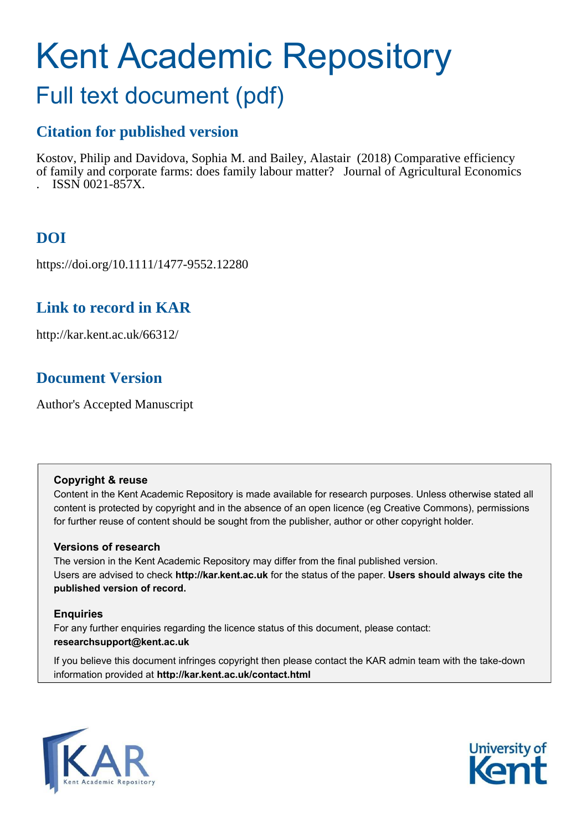# Kent Academic Repository

## Full text document (pdf)

## **Citation for published version**

Kostov, Philip and Davidova, Sophia M. and Bailey, Alastair (2018) Comparative efficiency of family and corporate farms: does family labour matter? Journal of Agricultural Economics . ISSN 0021-857X.

## **DOI**

https://doi.org/10.1111/1477-9552.12280

## **Link to record in KAR**

http://kar.kent.ac.uk/66312/

## **Document Version**

Author's Accepted Manuscript

#### **Copyright & reuse**

Content in the Kent Academic Repository is made available for research purposes. Unless otherwise stated all content is protected by copyright and in the absence of an open licence (eg Creative Commons), permissions for further reuse of content should be sought from the publisher, author or other copyright holder.

#### **Versions of research**

The version in the Kent Academic Repository may differ from the final published version. Users are advised to check **http://kar.kent.ac.uk** for the status of the paper. **Users should always cite the published version of record.**

#### **Enquiries**

For any further enquiries regarding the licence status of this document, please contact: **researchsupport@kent.ac.uk**

If you believe this document infringes copyright then please contact the KAR admin team with the take-down information provided at **http://kar.kent.ac.uk/contact.html**



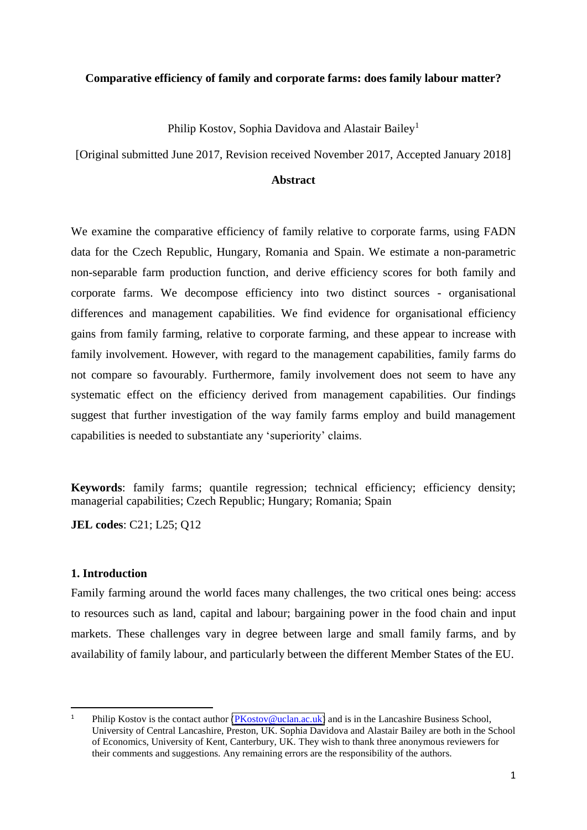#### **Comparative efficiency of family and corporate farms: does family labour matter?**

Philip Kostov, Sophia Davidova and Alastair Bailey<sup>1</sup>

[Original submitted June 2017, Revision received November 2017, Accepted January 2018]

#### **Abstract**

We examine the comparative efficiency of family relative to corporate farms, using FADN data for the Czech Republic, Hungary, Romania and Spain. We estimate a non-parametric non-separable farm production function, and derive efficiency scores for both family and corporate farms. We decompose efficiency into two distinct sources - organisational differences and management capabilities. We find evidence for organisational efficiency gains from family farming, relative to corporate farming, and these appear to increase with family involvement. However, with regard to the management capabilities, family farms do not compare so favourably. Furthermore, family involvement does not seem to have any systematic effect on the efficiency derived from management capabilities. Our findings suggest that further investigation of the way family farms employ and build management capabilities is needed to substantiate any 'superiority' claims.

**Keywords**: family farms; quantile regression; technical efficiency; efficiency density; managerial capabilities; Czech Republic; Hungary; Romania; Spain

**JEL codes**: C21; L25; Q12

#### **1. Introduction**

-

Family farming around the world faces many challenges, the two critical ones being: access to resources such as land, capital and labour; bargaining power in the food chain and input markets. These challenges vary in degree between large and small family farms, and by availability of family labour, and particularly between the different Member States of the EU.

<sup>1</sup> Philip Kostov is the contact author [\(PKostov@uclan.ac.uk\)](mailto:PKostov@uclan.ac.uk) and is in the Lancashire Business School, University of Central Lancashire, Preston, UK. Sophia Davidova and Alastair Bailey are both in the School of Economics, University of Kent, Canterbury, UK. They wish to thank three anonymous reviewers for their comments and suggestions. Any remaining errors are the responsibility of the authors.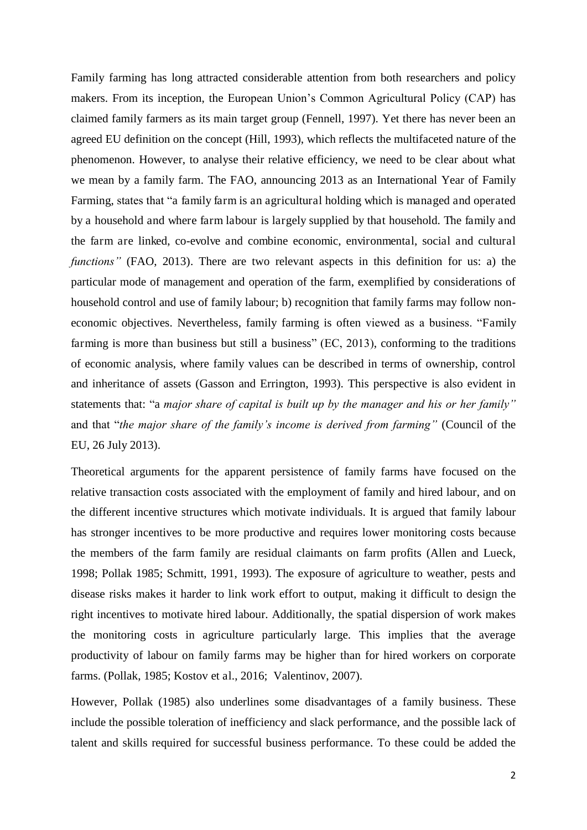Family farming has long attracted considerable attention from both researchers and policy makers. From its inception, the European Union's Common Agricultural Policy (CAP) has claimed family farmers as its main target group (Fennell, 1997). Yet there has never been an agreed EU definition on the concept (Hill, 1993), which reflects the multifaceted nature of the phenomenon. However, to analyse their relative efficiency, we need to be clear about what we mean by a family farm. The FAO, announcing 2013 as an International Year of Family Farming, states that "a family farm is an agricultural holding which is managed and operated by a household and where farm labour is largely supplied by that household. The family and the farm are linked, co-evolve and combine economic, environmental, social and cultural *functions"* (FAO, 2013). There are two relevant aspects in this definition for us: a) the particular mode of management and operation of the farm, exemplified by considerations of household control and use of family labour; b) recognition that family farms may follow noneconomic objectives. Nevertheless, family farming is often viewed as a business. "Family farming is more than business but still a business" (EC, 2013), conforming to the traditions of economic analysis, where family values can be described in terms of ownership, control and inheritance of assets (Gasson and Errington, 1993). This perspective is also evident in statements that: "a *major share of capital is built up by the manager and his or her family"*  and that "*the major share of the family's income is derived from farming"* (Council of the EU, 26 July 2013).

Theoretical arguments for the apparent persistence of family farms have focused on the relative transaction costs associated with the employment of family and hired labour, and on the different incentive structures which motivate individuals. It is argued that family labour has stronger incentives to be more productive and requires lower monitoring costs because the members of the farm family are residual claimants on farm profits (Allen and Lueck, 1998; Pollak 1985; Schmitt, 1991, 1993). The exposure of agriculture to weather, pests and disease risks makes it harder to link work effort to output, making it difficult to design the right incentives to motivate hired labour. Additionally, the spatial dispersion of work makes the monitoring costs in agriculture particularly large. This implies that the average productivity of labour on family farms may be higher than for hired workers on corporate farms. (Pollak, 1985; Kostov et al., 2016; Valentinov, 2007).

However, Pollak (1985) also underlines some disadvantages of a family business. These include the possible toleration of inefficiency and slack performance, and the possible lack of talent and skills required for successful business performance. To these could be added the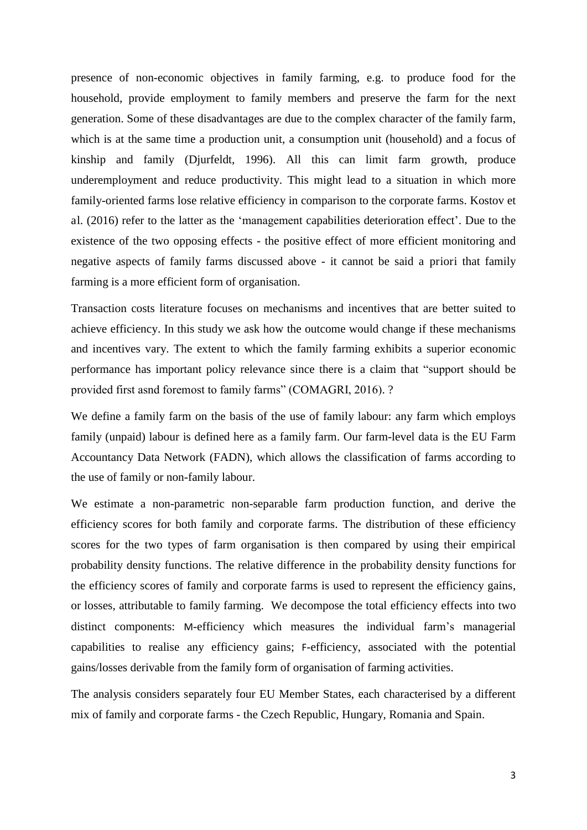presence of non-economic objectives in family farming, e.g. to produce food for the household, provide employment to family members and preserve the farm for the next generation. Some of these disadvantages are due to the complex character of the family farm, which is at the same time a production unit, a consumption unit (household) and a focus of kinship and family (Djurfeldt, 1996). All this can limit farm growth, produce underemployment and reduce productivity. This might lead to a situation in which more family-oriented farms lose relative efficiency in comparison to the corporate farms. Kostov et al. (2016) refer to the latter as the 'management capabilities deterioration effect'. Due to the existence of the two opposing effects - the positive effect of more efficient monitoring and negative aspects of family farms discussed above - it cannot be said a priori that family farming is a more efficient form of organisation.

Transaction costs literature focuses on mechanisms and incentives that are better suited to achieve efficiency. In this study we ask how the outcome would change if these mechanisms and incentives vary. The extent to which the family farming exhibits a superior economic performance has important policy relevance since there is a claim that "support should be provided first asnd foremost to family farms" (COMAGRI, 2016). ?

We define a family farm on the basis of the use of family labour: any farm which employs family (unpaid) labour is defined here as a family farm. Our farm-level data is the EU Farm Accountancy Data Network (FADN), which allows the classification of farms according to the use of family or non-family labour.

We estimate a non-parametric non-separable farm production function, and derive the efficiency scores for both family and corporate farms. The distribution of these efficiency scores for the two types of farm organisation is then compared by using their empirical probability density functions. The relative difference in the probability density functions for the efficiency scores of family and corporate farms is used to represent the efficiency gains, or losses, attributable to family farming. We decompose the total efficiency effects into two distinct components: M-efficiency which measures the individual farm's managerial capabilities to realise any efficiency gains; F-efficiency, associated with the potential gains/losses derivable from the family form of organisation of farming activities.

The analysis considers separately four EU Member States, each characterised by a different mix of family and corporate farms - the Czech Republic, Hungary, Romania and Spain.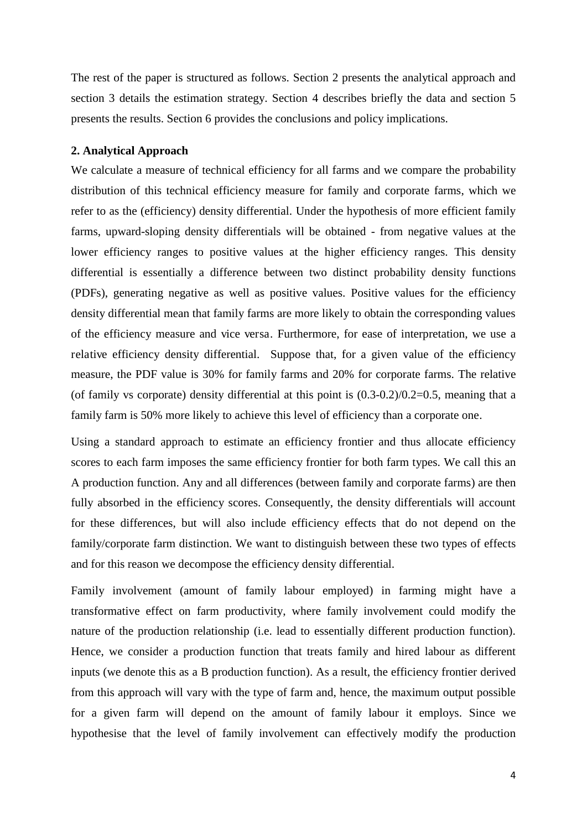The rest of the paper is structured as follows. Section 2 presents the analytical approach and section 3 details the estimation strategy. Section 4 describes briefly the data and section 5 presents the results. Section 6 provides the conclusions and policy implications.

#### **2. Analytical Approach**

We calculate a measure of technical efficiency for all farms and we compare the probability distribution of this technical efficiency measure for family and corporate farms, which we refer to as the (efficiency) density differential. Under the hypothesis of more efficient family farms, upward-sloping density differentials will be obtained - from negative values at the lower efficiency ranges to positive values at the higher efficiency ranges. This density differential is essentially a difference between two distinct probability density functions (PDFs), generating negative as well as positive values. Positive values for the efficiency density differential mean that family farms are more likely to obtain the corresponding values of the efficiency measure and vice versa. Furthermore, for ease of interpretation, we use a relative efficiency density differential. Suppose that, for a given value of the efficiency measure, the PDF value is 30% for family farms and 20% for corporate farms. The relative (of family vs corporate) density differential at this point is  $(0.3-0.2)/0.2=0.5$ , meaning that a family farm is 50% more likely to achieve this level of efficiency than a corporate one.

Using a standard approach to estimate an efficiency frontier and thus allocate efficiency scores to each farm imposes the same efficiency frontier for both farm types. We call this an A production function. Any and all differences (between family and corporate farms) are then fully absorbed in the efficiency scores. Consequently, the density differentials will account for these differences, but will also include efficiency effects that do not depend on the family/corporate farm distinction. We want to distinguish between these two types of effects and for this reason we decompose the efficiency density differential.

Family involvement (amount of family labour employed) in farming might have a transformative effect on farm productivity, where family involvement could modify the nature of the production relationship (i.e. lead to essentially different production function). Hence, we consider a production function that treats family and hired labour as different inputs (we denote this as a B production function). As a result, the efficiency frontier derived from this approach will vary with the type of farm and, hence, the maximum output possible for a given farm will depend on the amount of family labour it employs. Since we hypothesise that the level of family involvement can effectively modify the production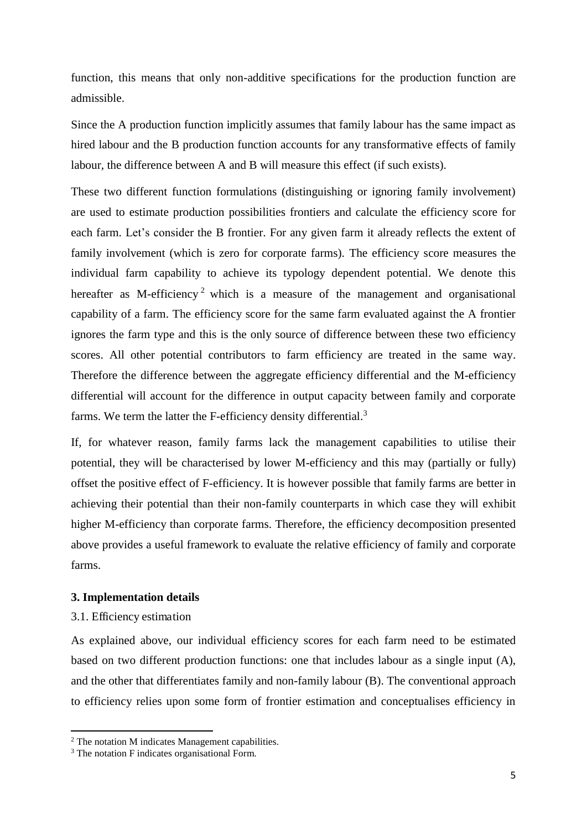function, this means that only non-additive specifications for the production function are admissible.

Since the A production function implicitly assumes that family labour has the same impact as hired labour and the B production function accounts for any transformative effects of family labour, the difference between A and B will measure this effect (if such exists).

These two different function formulations (distinguishing or ignoring family involvement) are used to estimate production possibilities frontiers and calculate the efficiency score for each farm. Let's consider the B frontier. For any given farm it already reflects the extent of family involvement (which is zero for corporate farms). The efficiency score measures the individual farm capability to achieve its typology dependent potential. We denote this hereafter as M-efficiency<sup>2</sup> which is a measure of the management and organisational capability of a farm. The efficiency score for the same farm evaluated against the A frontier ignores the farm type and this is the only source of difference between these two efficiency scores. All other potential contributors to farm efficiency are treated in the same way. Therefore the difference between the aggregate efficiency differential and the M-efficiency differential will account for the difference in output capacity between family and corporate farms. We term the latter the F-efficiency density differential.<sup>3</sup>

If, for whatever reason, family farms lack the management capabilities to utilise their potential, they will be characterised by lower M-efficiency and this may (partially or fully) offset the positive effect of F-efficiency. It is however possible that family farms are better in achieving their potential than their non-family counterparts in which case they will exhibit higher M-efficiency than corporate farms. Therefore, the efficiency decomposition presented above provides a useful framework to evaluate the relative efficiency of family and corporate farms.

#### **3. Implementation details**

#### 3.1. Efficiency estimation

-

As explained above, our individual efficiency scores for each farm need to be estimated based on two different production functions: one that includes labour as a single input (A), and the other that differentiates family and non-family labour (B). The conventional approach to efficiency relies upon some form of frontier estimation and conceptualises efficiency in

<sup>&</sup>lt;sup>2</sup> The notation M indicates Management capabilities.

<sup>3</sup> The notation F indicates organisational Form.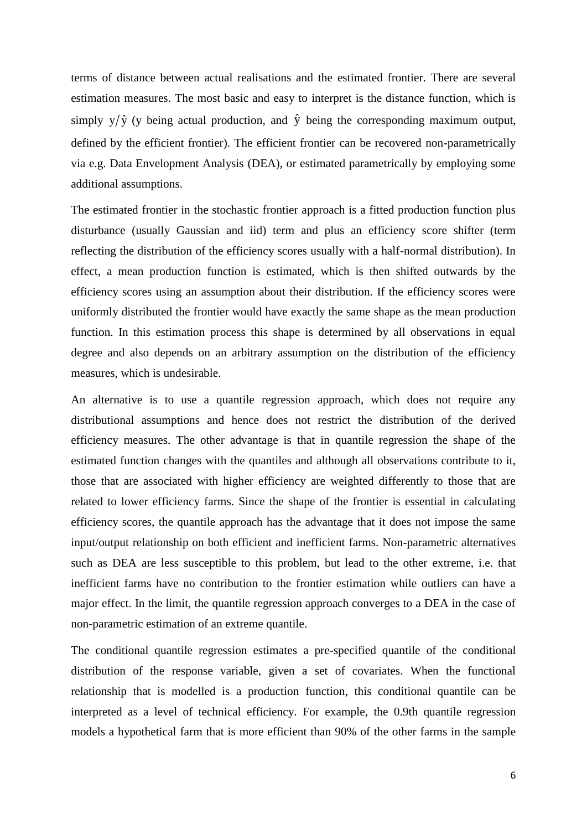terms of distance between actual realisations and the estimated frontier. There are several estimation measures. The most basic and easy to interpret is the distance function, which is simply  $y/\hat{y}$  (y being actual production, and  $\hat{y}$  being the corresponding maximum output, defined by the efficient frontier). The efficient frontier can be recovered non-parametrically via e.g. Data Envelopment Analysis (DEA), or estimated parametrically by employing some additional assumptions.

The estimated frontier in the stochastic frontier approach is a fitted production function plus disturbance (usually Gaussian and iid) term and plus an efficiency score shifter (term reflecting the distribution of the efficiency scores usually with a half-normal distribution). In effect, a mean production function is estimated, which is then shifted outwards by the efficiency scores using an assumption about their distribution. If the efficiency scores were uniformly distributed the frontier would have exactly the same shape as the mean production function. In this estimation process this shape is determined by all observations in equal degree and also depends on an arbitrary assumption on the distribution of the efficiency measures, which is undesirable.

An alternative is to use a quantile regression approach, which does not require any distributional assumptions and hence does not restrict the distribution of the derived efficiency measures. The other advantage is that in quantile regression the shape of the estimated function changes with the quantiles and although all observations contribute to it, those that are associated with higher efficiency are weighted differently to those that are related to lower efficiency farms. Since the shape of the frontier is essential in calculating efficiency scores, the quantile approach has the advantage that it does not impose the same input/output relationship on both efficient and inefficient farms. Non-parametric alternatives such as DEA are less susceptible to this problem, but lead to the other extreme, i.e. that inefficient farms have no contribution to the frontier estimation while outliers can have a major effect. In the limit, the quantile regression approach converges to a DEA in the case of non-parametric estimation of an extreme quantile.

The conditional quantile regression estimates a pre-specified quantile of the conditional distribution of the response variable, given a set of covariates. When the functional relationship that is modelled is a production function, this conditional quantile can be interpreted as a level of technical efficiency. For example, the 0.9th quantile regression models a hypothetical farm that is more efficient than 90% of the other farms in the sample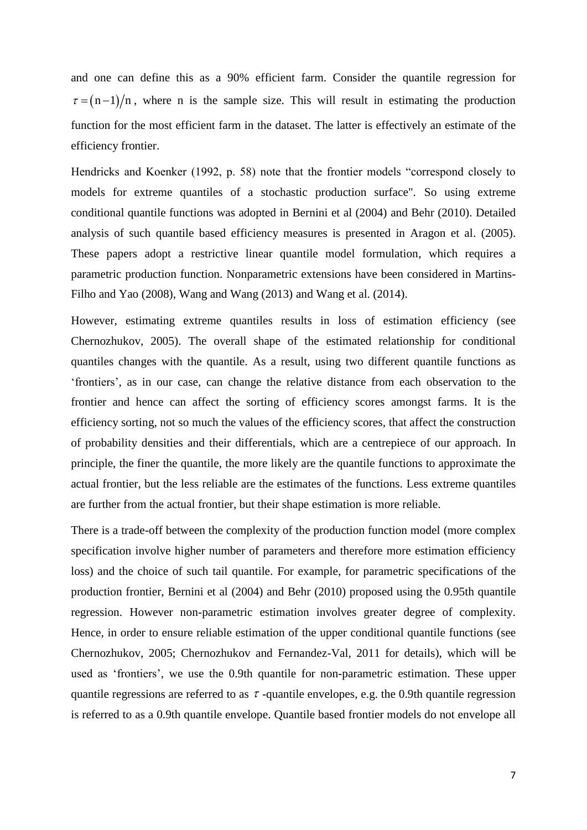and one can define this as a 90% efficient farm. Consider the quantile regression for  $\tau = (n-1)/n$ , where n is the sample size. This will result in estimating the production function for the most efficient farm in the dataset. The latter is effectively an estimate of the efficiency frontier.

Hendricks and Koenker (1992, p. 58) note that the frontier models "correspond closely to models for extreme quantiles of a stochastic production surface". So using extreme conditional quantile functions was adopted in Bernini et al (2004) and Behr (2010). Detailed analysis of such quantile based efficiency measures is presented in Aragon et al. (2005). These papers adopt a restrictive linear quantile model formulation, which requires a parametric production function. Nonparametric extensions have been considered in Martins-Filho and Yao (2008), Wang and Wang (2013) and Wang et al. (2014).

However, estimating extreme quantiles results in loss of estimation efficiency (see Chernozhukov, 2005). The overall shape of the estimated relationship for conditional quantiles changes with the quantile. As a result, using two different quantile functions as 'frontiers', as in our case, can change the relative distance from each observation to the frontier and hence can affect the sorting of efficiency scores amongst farms. It is the efficiency sorting, not so much the values of the efficiency scores, that affect the construction of probability densities and their differentials, which are a centrepiece of our approach. In principle, the finer the quantile, the more likely are the quantile functions to approximate the actual frontier, but the less reliable are the estimates of the functions. Less extreme quantiles are further from the actual frontier, but their shape estimation is more reliable.

There is a trade-off between the complexity of the production function model (more complex specification involve higher number of parameters and therefore more estimation efficiency loss) and the choice of such tail quantile. For example, for parametric specifications of the production frontier, Bernini et al (2004) and Behr (2010) proposed using the 0.95th quantile regression. However non-parametric estimation involves greater degree of complexity. Hence, in order to ensure reliable estimation of the upper conditional quantile functions (see Chernozhukov, 2005; Chernozhukov and Fernandez-Val, 2011 for details), which will be used as 'frontiers', we use the 0.9th quantile for non-parametric estimation. These upper quantile regressions are referred to as  $\tau$ -quantile envelopes, e.g. the 0.9th quantile regression is referred to as a 0.9th quantile envelope. Quantile based frontier models do not envelope all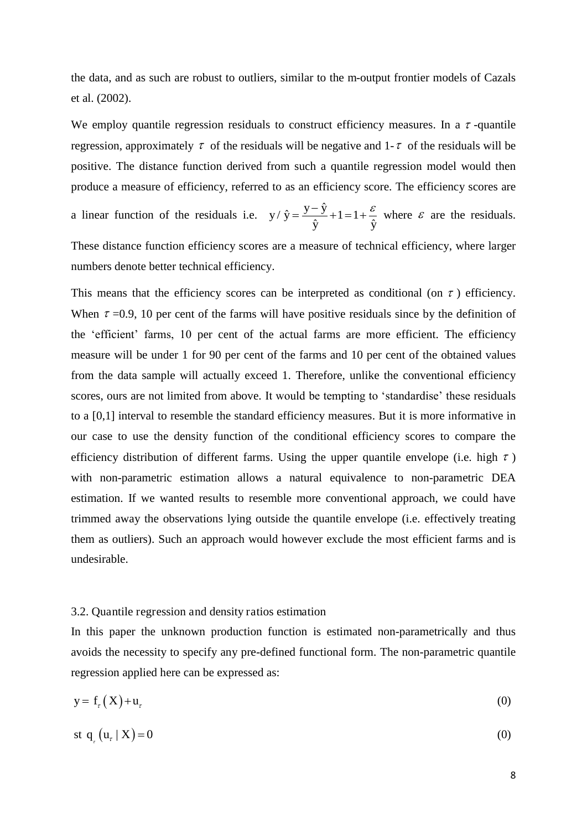the data, and as such are robust to outliers, similar to the m-output frontier models of Cazals et al. (2002).

We employ quantile regression residuals to construct efficiency measures. In a  $\tau$ -quantile regression, approximately  $\tau$  of the residuals will be negative and 1- $\tau$  of the residuals will be positive. The distance function derived from such a quantile regression model would then produce a measure of efficiency, referred to as an efficiency score. The efficiency scores are

a linear function of the residuals i.e.  $y / \hat{y} = \frac{y - \hat{y}}{\hat{x}} + 1 = 1$  $\hat{y}$   $\hat{y}$  $y / \hat{y} = \frac{y - \hat{y}}{2}$  $\hat{y}$   $\hat{y}$  $=\frac{y-\hat{y}}{2}+1=1+\frac{\varepsilon}{2}$  where  $\varepsilon$  are the residuals.

These distance function efficiency scores are a measure of technical efficiency, where larger numbers denote better technical efficiency.

This means that the efficiency scores can be interpreted as conditional (on  $\tau$ ) efficiency. When  $\tau = 0.9$ , 10 per cent of the farms will have positive residuals since by the definition of the 'efficient' farms, 10 per cent of the actual farms are more efficient. The efficiency measure will be under 1 for 90 per cent of the farms and 10 per cent of the obtained values from the data sample will actually exceed 1. Therefore, unlike the conventional efficiency scores, ours are not limited from above. It would be tempting to 'standardise' these residuals to a [0,1] interval to resemble the standard efficiency measures. But it is more informative in our case to use the density function of the conditional efficiency scores to compare the efficiency distribution of different farms. Using the upper quantile envelope (i.e. high  $\tau$ ) with non-parametric estimation allows a natural equivalence to non-parametric DEA estimation. If we wanted results to resemble more conventional approach, we could have trimmed away the observations lying outside the quantile envelope (i.e. effectively treating them as outliers). Such an approach would however exclude the most efficient farms and is undesirable.

#### 3.2. Quantile regression and density ratios estimation

In this paper the unknown production function is estimated non-parametrically and thus avoids the necessity to specify any pre-defined functional form. The non-parametric quantile regression applied here can be expressed as:

$$
y = f_{\tau}(X) + u_{\tau}
$$
 (0)

$$
\text{st } q_{\text{r}}(u_{\text{r}} \mid X) = 0 \tag{0}
$$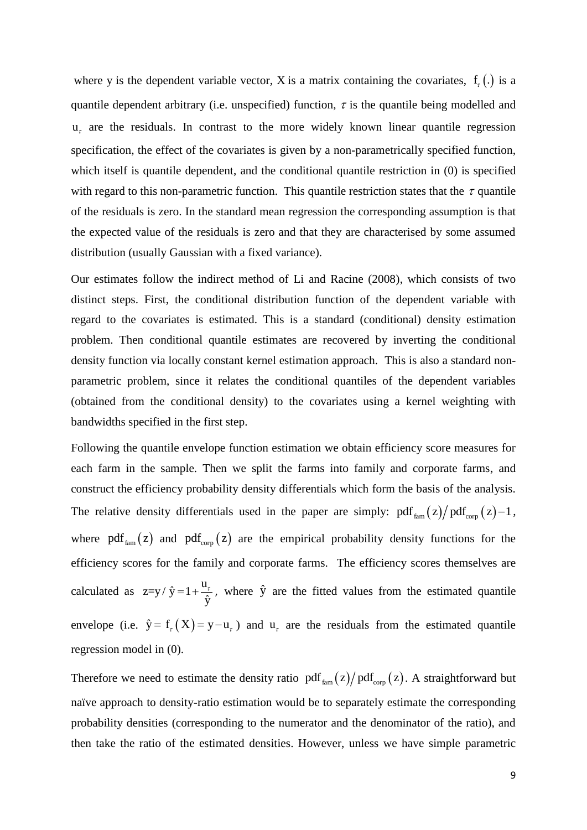where y is the dependent variable vector, X is a matrix containing the covariates,  $f_{\tau}$  (.) is a quantile dependent arbitrary (i.e. unspecified) function,  $\tau$  is the quantile being modelled and  $u_t$  are the residuals. In contrast to the more widely known linear quantile regression specification, the effect of the covariates is given by a non-parametrically specified function, which itself is quantile dependent, and the conditional quantile restriction in (0) is specified with regard to this non-parametric function. This quantile restriction states that the  $\tau$  quantile of the residuals is zero. In the standard mean regression the corresponding assumption is that the expected value of the residuals is zero and that they are characterised by some assumed distribution (usually Gaussian with a fixed variance).

Our estimates follow the indirect method of Li and Racine (2008), which consists of two distinct steps. First, the conditional distribution function of the dependent variable with regard to the covariates is estimated. This is a standard (conditional) density estimation problem. Then conditional quantile estimates are recovered by inverting the conditional density function via locally constant kernel estimation approach. This is also a standard nonparametric problem, since it relates the conditional quantiles of the dependent variables (obtained from the conditional density) to the covariates using a kernel weighting with bandwidths specified in the first step.

Following the quantile envelope function estimation we obtain efficiency score measures for each farm in the sample. Then we split the farms into family and corporate farms, and construct the efficiency probability density differentials which form the basis of the analysis. The relative density differentials used in the paper are simply:  $pdf_{\text{fam}}(z)/pdf_{\text{corr}}(z) - 1$ , where pdf<sub>fam</sub> (z) and pdf<sub>corp</sub> (z) are the empirical probability density functions for the efficiency scores for the family and corporate farms. The efficiency scores themselves are calculated as  $z=y/\hat{y}$ ˆ  $y / \hat{y} = 1 + \frac{u}{a}$ y  $=1+\frac{u_r}{\lambda}$ , where  $\hat{y}$  are the fitted values from the estimated quantile envelope (i.e.  $\hat{y} = f_r(X) = y - u_r$ ) and  $u_r$  are the residuals from the estimated quantile regression model in (0).

Therefore we need to estimate the density ratio  $pdf_{fan}(z)/pdf_{corp}(z)$ . A straightforward but naïve approach to density-ratio estimation would be to separately estimate the corresponding probability densities (corresponding to the numerator and the denominator of the ratio), and then take the ratio of the estimated densities. However, unless we have simple parametric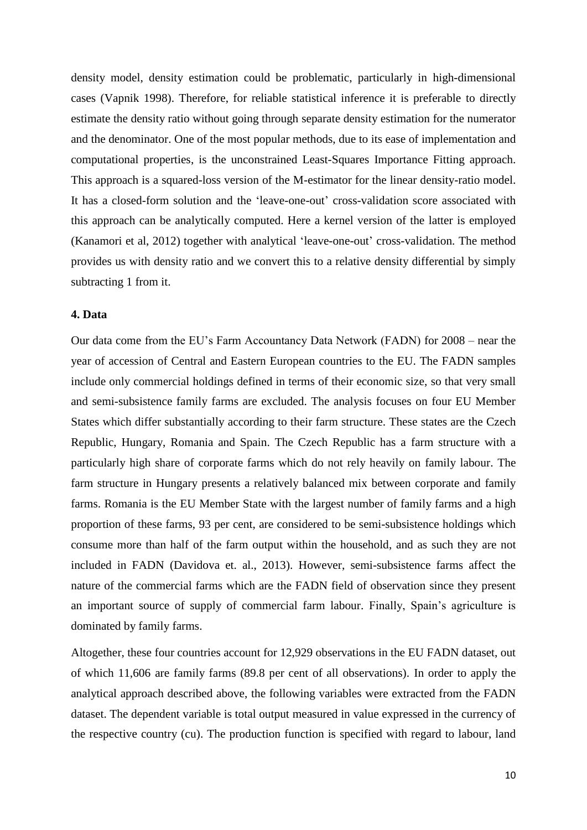density model, density estimation could be problematic, particularly in high-dimensional cases (Vapnik 1998). Therefore, for reliable statistical inference it is preferable to directly estimate the density ratio without going through separate density estimation for the numerator and the denominator. One of the most popular methods, due to its ease of implementation and computational properties, is the unconstrained Least-Squares Importance Fitting approach. This approach is a squared-loss version of the M-estimator for the linear density-ratio model. It has a closed-form solution and the 'leave-one-out' cross-validation score associated with this approach can be analytically computed. Here a kernel version of the latter is employed (Kanamori et al, 2012) together with analytical 'leave-one-out' cross-validation. The method provides us with density ratio and we convert this to a relative density differential by simply subtracting 1 from it.

#### **4. Data**

Our data come from the EU's Farm Accountancy Data Network (FADN) for 2008 – near the year of accession of Central and Eastern European countries to the EU. The FADN samples include only commercial holdings defined in terms of their economic size, so that very small and semi-subsistence family farms are excluded. The analysis focuses on four EU Member States which differ substantially according to their farm structure. These states are the Czech Republic, Hungary, Romania and Spain. The Czech Republic has a farm structure with a particularly high share of corporate farms which do not rely heavily on family labour. The farm structure in Hungary presents a relatively balanced mix between corporate and family farms. Romania is the EU Member State with the largest number of family farms and a high proportion of these farms, 93 per cent, are considered to be semi-subsistence holdings which consume more than half of the farm output within the household, and as such they are not included in FADN (Davidova et. al., 2013). However, semi-subsistence farms affect the nature of the commercial farms which are the FADN field of observation since they present an important source of supply of commercial farm labour. Finally, Spain's agriculture is dominated by family farms.

Altogether, these four countries account for 12,929 observations in the EU FADN dataset, out of which 11,606 are family farms (89.8 per cent of all observations). In order to apply the analytical approach described above, the following variables were extracted from the FADN dataset. The dependent variable is total output measured in value expressed in the currency of the respective country (cu). The production function is specified with regard to labour, land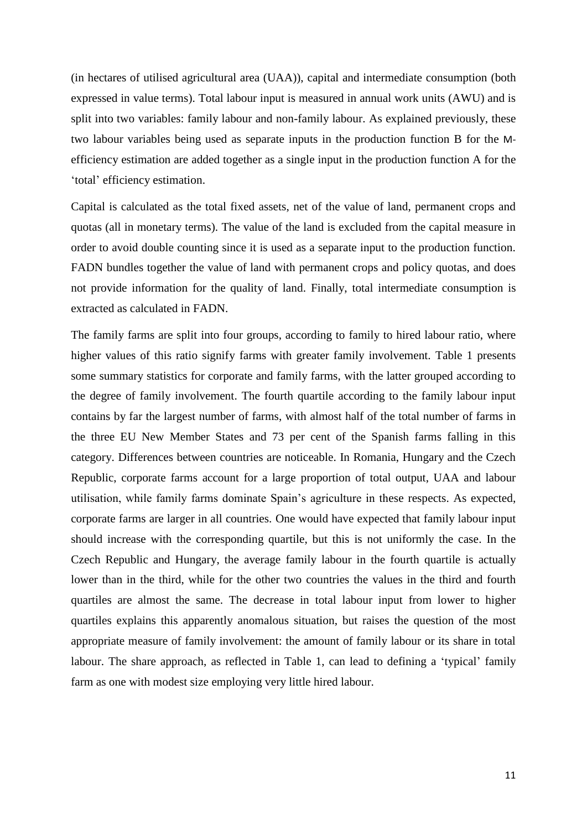(in hectares of utilised agricultural area (UAA)), capital and intermediate consumption (both expressed in value terms). Total labour input is measured in annual work units (AWU) and is split into two variables: family labour and non-family labour. As explained previously, these two labour variables being used as separate inputs in the production function B for the Mefficiency estimation are added together as a single input in the production function A for the 'total' efficiency estimation.

Capital is calculated as the total fixed assets, net of the value of land, permanent crops and quotas (all in monetary terms). The value of the land is excluded from the capital measure in order to avoid double counting since it is used as a separate input to the production function. FADN bundles together the value of land with permanent crops and policy quotas, and does not provide information for the quality of land. Finally, total intermediate consumption is extracted as calculated in FADN.

The family farms are split into four groups, according to family to hired labour ratio, where higher values of this ratio signify farms with greater family involvement. Table 1 presents some summary statistics for corporate and family farms, with the latter grouped according to the degree of family involvement. The fourth quartile according to the family labour input contains by far the largest number of farms, with almost half of the total number of farms in the three EU New Member States and 73 per cent of the Spanish farms falling in this category. Differences between countries are noticeable. In Romania, Hungary and the Czech Republic, corporate farms account for a large proportion of total output, UAA and labour utilisation, while family farms dominate Spain's agriculture in these respects. As expected, corporate farms are larger in all countries. One would have expected that family labour input should increase with the corresponding quartile, but this is not uniformly the case. In the Czech Republic and Hungary, the average family labour in the fourth quartile is actually lower than in the third, while for the other two countries the values in the third and fourth quartiles are almost the same. The decrease in total labour input from lower to higher quartiles explains this apparently anomalous situation, but raises the question of the most appropriate measure of family involvement: the amount of family labour or its share in total labour. The share approach, as reflected in Table 1, can lead to defining a 'typical' family farm as one with modest size employing very little hired labour.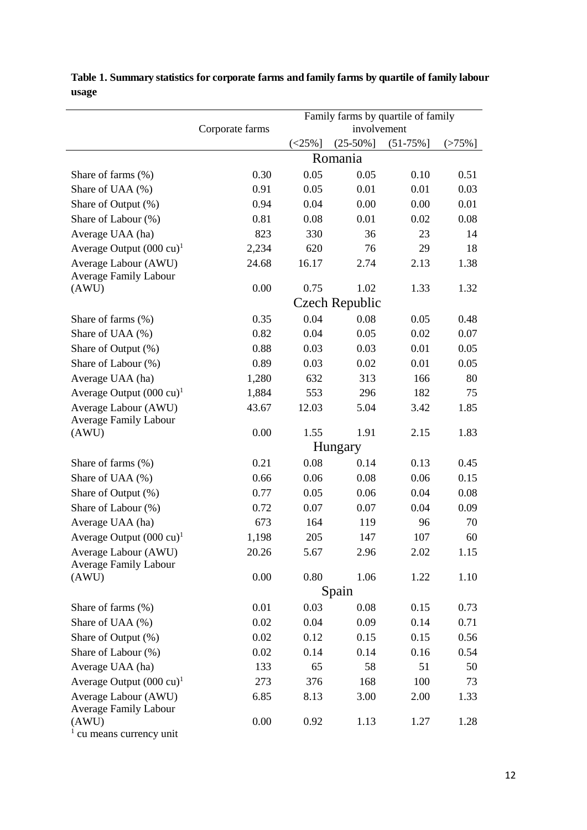|                                                      | Corporate farms                                 | Family farms by quartile of family<br>involvement |              |             |            |
|------------------------------------------------------|-------------------------------------------------|---------------------------------------------------|--------------|-------------|------------|
|                                                      |                                                 | $(<25\%$ ]                                        | $(25-50\%$ ] | $(51-75\%)$ | $(>75\%$ ] |
|                                                      | Romania                                         |                                                   |              |             |            |
| Share of farms $(\%)$                                | 0.30                                            | 0.05                                              | 0.05         | 0.10        | 0.51       |
| Share of UAA (%)                                     | 0.91                                            | 0.05                                              | 0.01         | 0.01        | 0.03       |
| Share of Output (%)                                  | 0.94                                            | 0.04                                              | 0.00         | 0.00        | 0.01       |
| Share of Labour (%)                                  | 0.81                                            | 0.08                                              | 0.01         | 0.02        | 0.08       |
| Average UAA (ha)                                     | 823                                             | 330                                               | 36           | 23          | 14         |
| Average Output $(000 \text{ cu})^1$                  | 2,234                                           | 620                                               | 76           | 29          | 18         |
| Average Labour (AWU)                                 | 24.68                                           | 16.17                                             | 2.74         | 2.13        | 1.38       |
| <b>Average Family Labour</b>                         |                                                 |                                                   |              |             |            |
| (AWU)                                                | 0.00                                            | 0.75                                              | 1.02         | 1.33        | 1.32       |
|                                                      | <b>Czech Republic</b>                           |                                                   |              |             |            |
| Share of farms (%)                                   | 0.35                                            | 0.04                                              | 0.08         | 0.05        | 0.48       |
| Share of UAA (%)                                     | 0.82                                            | 0.04                                              | 0.05         | 0.02        | 0.07       |
| Share of Output (%)                                  | 0.88                                            | 0.03                                              | 0.03         | 0.01        | 0.05       |
| Share of Labour (%)                                  | 0.89                                            | 0.03                                              | 0.02         | 0.01        | 0.05       |
| Average UAA (ha)                                     | 1,280                                           | 632                                               | 313          | 166         | 80         |
| Average Output $(000 \text{ cu})$ <sup>1</sup>       | 1,884                                           | 553                                               | 296          | 182         | 75         |
| Average Labour (AWU)                                 | 43.67                                           | 12.03                                             | 5.04         | 3.42        | 1.85       |
| <b>Average Family Labour</b>                         |                                                 |                                                   |              |             |            |
| (AWU)                                                | 0.00<br>1.91<br>1.83<br>1.55<br>2.15<br>Hungary |                                                   |              |             |            |
|                                                      |                                                 |                                                   |              |             |            |
| Share of farms $(\%)$                                | 0.21                                            | 0.08                                              | 0.14         | 0.13        | 0.45       |
| Share of UAA (%)                                     | 0.66                                            | 0.06                                              | 0.08         | 0.06        | 0.15       |
| Share of Output (%)                                  | 0.77                                            | 0.05                                              | 0.06         | 0.04        | 0.08       |
| Share of Labour (%)                                  | 0.72                                            | 0.07                                              | 0.07         | 0.04        | 0.09       |
| Average UAA (ha)                                     | 673                                             | 164                                               | 119          | 96          | 70         |
| Average Output $(000 \text{ cu})^1$                  | 1,198                                           | 205                                               | 147          | 107         | 60         |
| Average Labour (AWU)<br><b>Average Family Labour</b> | 20.26                                           | 5.67                                              | 2.96         | 2.02        | 1.15       |
| (AWU)                                                | 0.00                                            | 0.80                                              | 1.06         | 1.22        | 1.10       |
|                                                      | Spain                                           |                                                   |              |             |            |
| Share of farms (%)                                   | 0.01                                            | 0.03                                              | 0.08         | 0.15        | 0.73       |
| Share of UAA (%)                                     | 0.02                                            | 0.04                                              | 0.09         | 0.14        | 0.71       |
| Share of Output (%)                                  | 0.02                                            | 0.12                                              | 0.15         | 0.15        | 0.56       |
| Share of Labour (%)                                  | 0.02                                            | 0.14                                              | 0.14         | 0.16        | 0.54       |
| Average UAA (ha)                                     | 133                                             | 65                                                | 58           | 51          | 50         |
| Average Output $(000 \text{ cu})$ <sup>1</sup>       | 273                                             | 376                                               | 168          | 100         | 73         |
| Average Labour (AWU)                                 | 6.85                                            | 8.13                                              | 3.00         | 2.00        | 1.33       |
| <b>Average Family Labour</b>                         |                                                 |                                                   |              |             |            |
| (AWU)                                                | 0.00                                            | 0.92                                              | 1.13         | 1.27        | 1.28       |
| 1<br>cu means currency unit                          |                                                 |                                                   |              |             |            |

**Table 1. Summary statistics for corporate farms and family farms by quartile of family labour usage**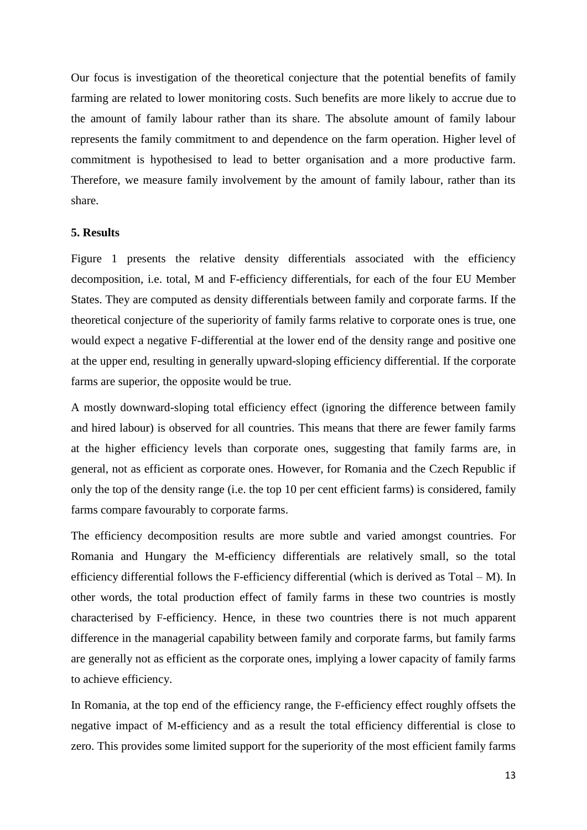Our focus is investigation of the theoretical conjecture that the potential benefits of family farming are related to lower monitoring costs. Such benefits are more likely to accrue due to the amount of family labour rather than its share. The absolute amount of family labour represents the family commitment to and dependence on the farm operation. Higher level of commitment is hypothesised to lead to better organisation and a more productive farm. Therefore, we measure family involvement by the amount of family labour, rather than its share.

#### **5. Results**

Figure 1 presents the relative density differentials associated with the efficiency decomposition, i.e. total, M and F-efficiency differentials, for each of the four EU Member States. They are computed as density differentials between family and corporate farms. If the theoretical conjecture of the superiority of family farms relative to corporate ones is true, one would expect a negative F-differential at the lower end of the density range and positive one at the upper end, resulting in generally upward-sloping efficiency differential. If the corporate farms are superior, the opposite would be true.

A mostly downward-sloping total efficiency effect (ignoring the difference between family and hired labour) is observed for all countries. This means that there are fewer family farms at the higher efficiency levels than corporate ones, suggesting that family farms are, in general, not as efficient as corporate ones. However, for Romania and the Czech Republic if only the top of the density range (i.e. the top 10 per cent efficient farms) is considered, family farms compare favourably to corporate farms.

The efficiency decomposition results are more subtle and varied amongst countries. For Romania and Hungary the M-efficiency differentials are relatively small, so the total efficiency differential follows the F-efficiency differential (which is derived as Total – M). In other words, the total production effect of family farms in these two countries is mostly characterised by F-efficiency. Hence, in these two countries there is not much apparent difference in the managerial capability between family and corporate farms, but family farms are generally not as efficient as the corporate ones, implying a lower capacity of family farms to achieve efficiency.

In Romania, at the top end of the efficiency range, the F-efficiency effect roughly offsets the negative impact of M-efficiency and as a result the total efficiency differential is close to zero. This provides some limited support for the superiority of the most efficient family farms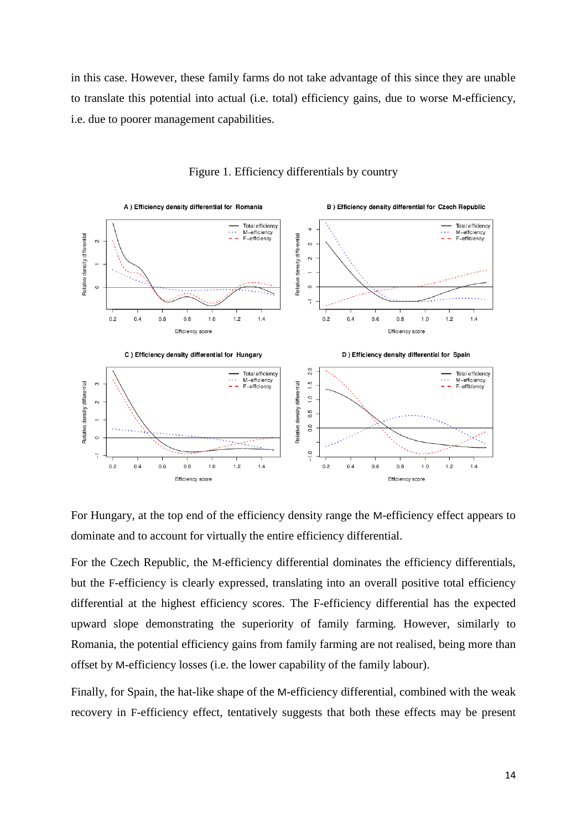in this case. However, these family farms do not take advantage of this since they are unable to translate this potential into actual (i.e. total) efficiency gains, due to worse M-efficiency, i.e. due to poorer management capabilities.



Figure 1. Efficiency differentials by country

For Hungary, at the top end of the efficiency density range the M-efficiency effect appears to dominate and to account for virtually the entire efficiency differential.

For the Czech Republic, the M-efficiency differential dominates the efficiency differentials, but the F-efficiency is clearly expressed, translating into an overall positive total efficiency differential at the highest efficiency scores. The F-efficiency differential has the expected upward slope demonstrating the superiority of family farming. However, similarly to Romania, the potential efficiency gains from family farming are not realised, being more than offset by M-efficiency losses (i.e. the lower capability of the family labour).

Finally, for Spain, the hat-like shape of the M-efficiency differential, combined with the weak recovery in F-efficiency effect, tentatively suggests that both these effects may be present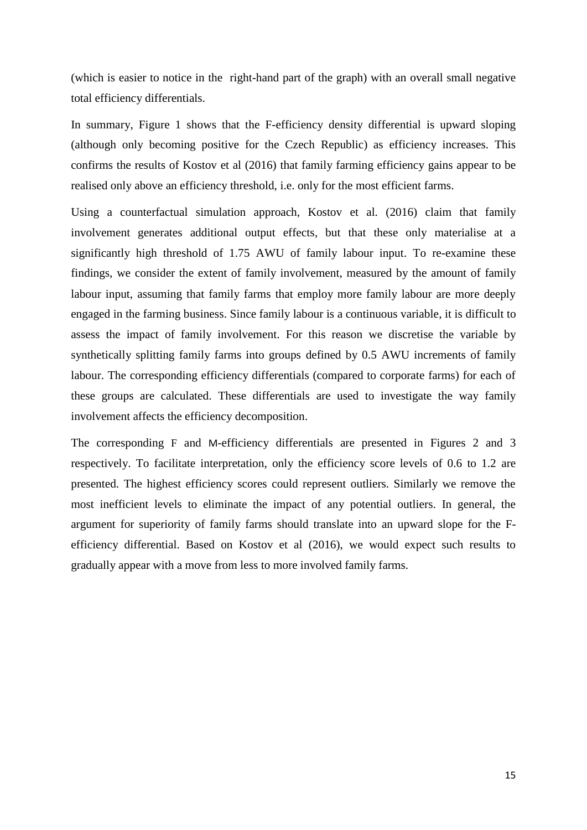(which is easier to notice in the right-hand part of the graph) with an overall small negative total efficiency differentials.

In summary, Figure 1 shows that the F-efficiency density differential is upward sloping (although only becoming positive for the Czech Republic) as efficiency increases. This confirms the results of Kostov et al (2016) that family farming efficiency gains appear to be realised only above an efficiency threshold, i.e. only for the most efficient farms.

Using a counterfactual simulation approach, Kostov et al. (2016) claim that family involvement generates additional output effects, but that these only materialise at a significantly high threshold of 1.75 AWU of family labour input. To re-examine these findings, we consider the extent of family involvement, measured by the amount of family labour input, assuming that family farms that employ more family labour are more deeply engaged in the farming business. Since family labour is a continuous variable, it is difficult to assess the impact of family involvement. For this reason we discretise the variable by synthetically splitting family farms into groups defined by 0.5 AWU increments of family labour. The corresponding efficiency differentials (compared to corporate farms) for each of these groups are calculated. These differentials are used to investigate the way family involvement affects the efficiency decomposition.

The corresponding F and M-efficiency differentials are presented in Figures 2 and 3 respectively. To facilitate interpretation, only the efficiency score levels of 0.6 to 1.2 are presented. The highest efficiency scores could represent outliers. Similarly we remove the most inefficient levels to eliminate the impact of any potential outliers. In general, the argument for superiority of family farms should translate into an upward slope for the Fefficiency differential. Based on Kostov et al (2016), we would expect such results to gradually appear with a move from less to more involved family farms.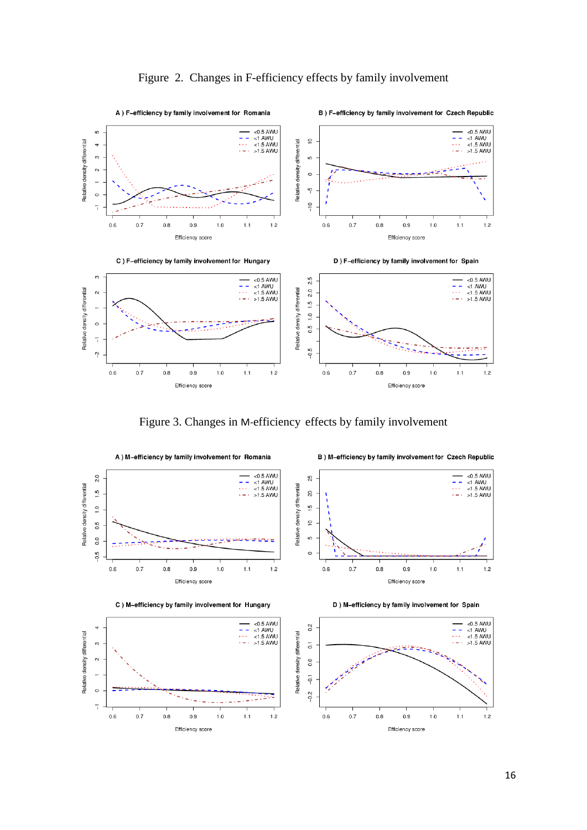

Figure 3. Changes in M-efficiency effects by family involvement

![](_page_16_Figure_3.jpeg)

z ÷

 $1.2$ 

 $1.1$ 

 $\circ$ 

 $\overline{1}$  $0.6\,$ 

 $0.7$ 

 $0.8$ 

 $0.9$ 

Efficiency score

 $1.0\,$ 

 $-0.1$  $-0.2$  $0.6$  $0.7$  $0.8$  $0.9$  $1.0$  $1.1$  $1.2$ Efficiency score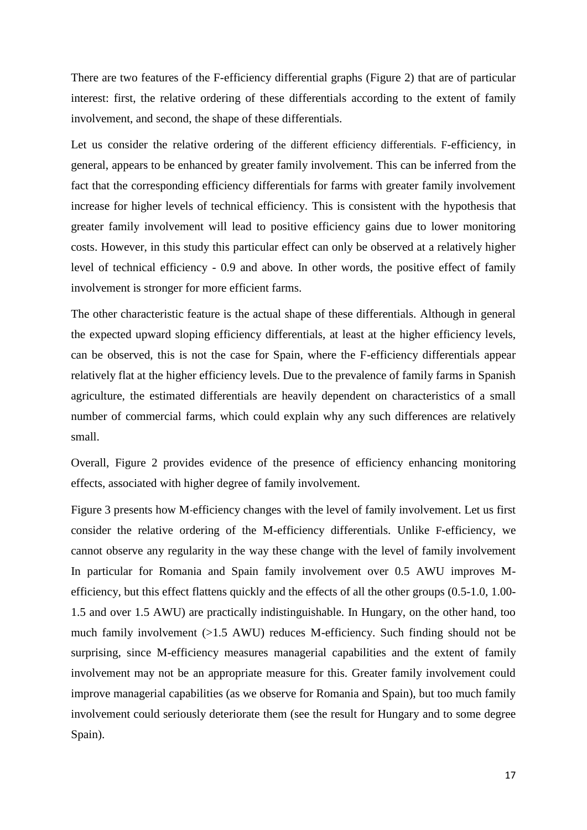There are two features of the F-efficiency differential graphs (Figure 2) that are of particular interest: first, the relative ordering of these differentials according to the extent of family involvement, and second, the shape of these differentials.

Let us consider the relative ordering of the different efficiency differentials. F-efficiency, in general, appears to be enhanced by greater family involvement. This can be inferred from the fact that the corresponding efficiency differentials for farms with greater family involvement increase for higher levels of technical efficiency. This is consistent with the hypothesis that greater family involvement will lead to positive efficiency gains due to lower monitoring costs. However, in this study this particular effect can only be observed at a relatively higher level of technical efficiency - 0.9 and above. In other words, the positive effect of family involvement is stronger for more efficient farms.

The other characteristic feature is the actual shape of these differentials. Although in general the expected upward sloping efficiency differentials, at least at the higher efficiency levels, can be observed, this is not the case for Spain, where the F-efficiency differentials appear relatively flat at the higher efficiency levels. Due to the prevalence of family farms in Spanish agriculture, the estimated differentials are heavily dependent on characteristics of a small number of commercial farms, which could explain why any such differences are relatively small.

Overall, Figure 2 provides evidence of the presence of efficiency enhancing monitoring effects, associated with higher degree of family involvement.

Figure 3 presents how M-efficiency changes with the level of family involvement. Let us first consider the relative ordering of the M-efficiency differentials. Unlike F-efficiency, we cannot observe any regularity in the way these change with the level of family involvement In particular for Romania and Spain family involvement over 0.5 AWU improves Mefficiency, but this effect flattens quickly and the effects of all the other groups (0.5-1.0, 1.00- 1.5 and over 1.5 AWU) are practically indistinguishable. In Hungary, on the other hand, too much family involvement (>1.5 AWU) reduces M-efficiency. Such finding should not be surprising, since M-efficiency measures managerial capabilities and the extent of family involvement may not be an appropriate measure for this. Greater family involvement could improve managerial capabilities (as we observe for Romania and Spain), but too much family involvement could seriously deteriorate them (see the result for Hungary and to some degree Spain).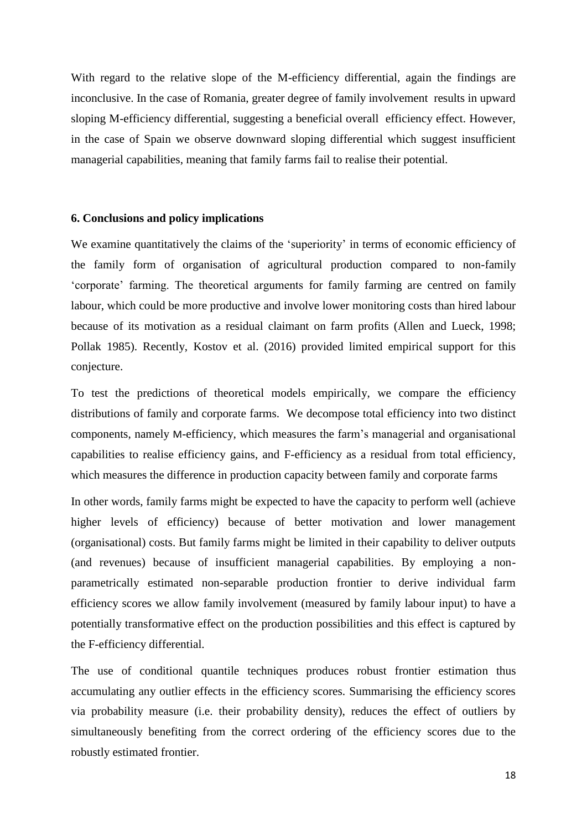With regard to the relative slope of the M-efficiency differential, again the findings are inconclusive. In the case of Romania, greater degree of family involvement results in upward sloping M-efficiency differential, suggesting a beneficial overall efficiency effect. However, in the case of Spain we observe downward sloping differential which suggest insufficient managerial capabilities, meaning that family farms fail to realise their potential.

#### **6. Conclusions and policy implications**

We examine quantitatively the claims of the 'superiority' in terms of economic efficiency of the family form of organisation of agricultural production compared to non-family 'corporate' farming. The theoretical arguments for family farming are centred on family labour, which could be more productive and involve lower monitoring costs than hired labour because of its motivation as a residual claimant on farm profits (Allen and Lueck, 1998; Pollak 1985). Recently, Kostov et al. (2016) provided limited empirical support for this conjecture.

To test the predictions of theoretical models empirically, we compare the efficiency distributions of family and corporate farms. We decompose total efficiency into two distinct components, namely M-efficiency, which measures the farm's managerial and organisational capabilities to realise efficiency gains, and F-efficiency as a residual from total efficiency, which measures the difference in production capacity between family and corporate farms

In other words, family farms might be expected to have the capacity to perform well (achieve higher levels of efficiency) because of better motivation and lower management (organisational) costs. But family farms might be limited in their capability to deliver outputs (and revenues) because of insufficient managerial capabilities. By employing a nonparametrically estimated non-separable production frontier to derive individual farm efficiency scores we allow family involvement (measured by family labour input) to have a potentially transformative effect on the production possibilities and this effect is captured by the F-efficiency differential.

The use of conditional quantile techniques produces robust frontier estimation thus accumulating any outlier effects in the efficiency scores. Summarising the efficiency scores via probability measure (i.e. their probability density), reduces the effect of outliers by simultaneously benefiting from the correct ordering of the efficiency scores due to the robustly estimated frontier.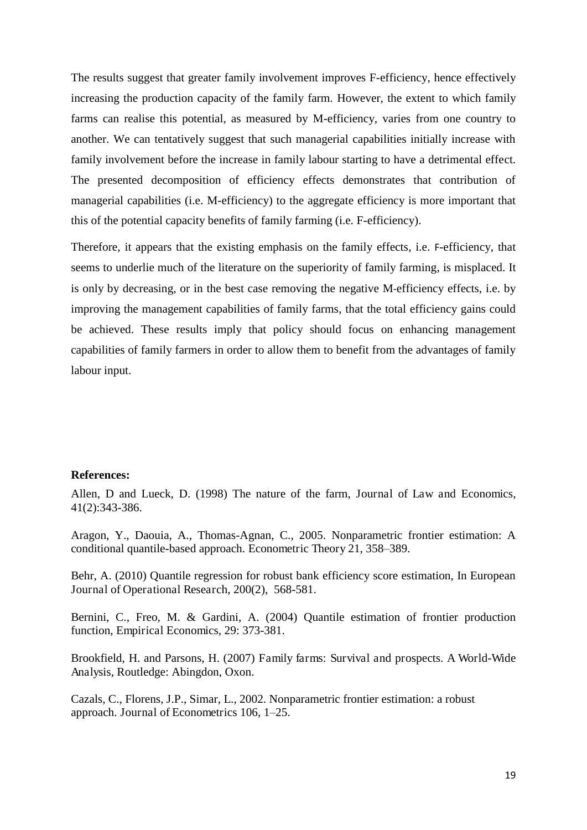The results suggest that greater family involvement improves F-efficiency, hence effectively increasing the production capacity of the family farm. However, the extent to which family farms can realise this potential, as measured by M-efficiency, varies from one country to another. We can tentatively suggest that such managerial capabilities initially increase with family involvement before the increase in family labour starting to have a detrimental effect. The presented decomposition of efficiency effects demonstrates that contribution of managerial capabilities (i.e. M-efficiency) to the aggregate efficiency is more important that this of the potential capacity benefits of family farming (i.e. F-efficiency).

Therefore, it appears that the existing emphasis on the family effects, i.e. F-efficiency, that seems to underlie much of the literature on the superiority of family farming, is misplaced. It is only by decreasing, or in the best case removing the negative M-efficiency effects, i.e. by improving the management capabilities of family farms, that the total efficiency gains could be achieved. These results imply that policy should focus on enhancing management capabilities of family farmers in order to allow them to benefit from the advantages of family labour input.

#### **References:**

Allen, D and Lueck, D. (1998) The nature of the farm, Journal of Law and Economics, 41(2):343-386.

Aragon, Y., Daouia, A., Thomas-Agnan, C., 2005. Nonparametric frontier estimation: A conditional quantile-based approach. Econometric Theory 21, 358–389.

Behr, A. (2010) Quantile regression for robust bank efficiency score estimation, In European Journal of Operational Research, 200(2), 568-581.

Bernini, C., Freo, M. & Gardini, A. (2004) Quantile estimation of frontier production function, Empirical Economics, 29: 373-381.

Brookfield, H. and Parsons, H. (2007) Family farms: Survival and prospects. A World-Wide Analysis, Routledge: Abingdon, Oxon.

Cazals, C., Florens, J.P., Simar, L., 2002. Nonparametric frontier estimation: a robust approach. Journal of Econometrics 106, 1–25.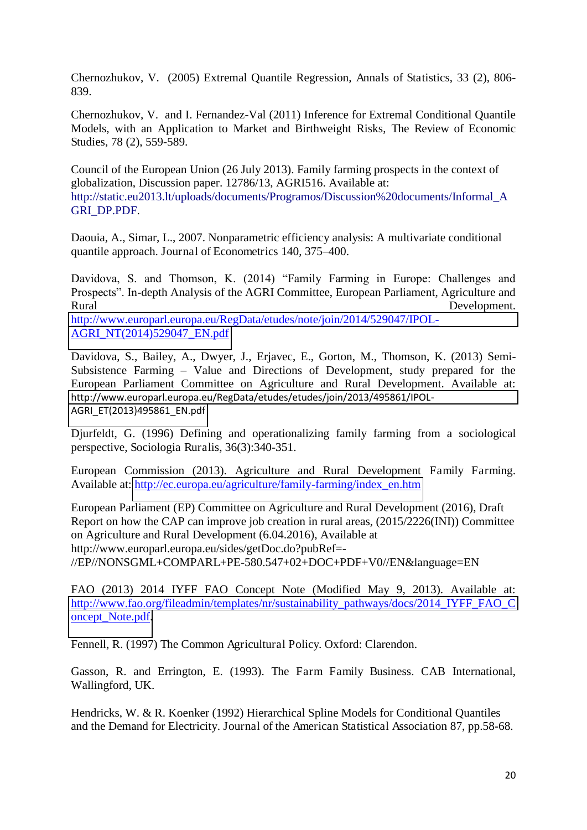Chernozhukov, V. (2005) Extremal Quantile Regression, Annals of Statistics, 33 (2), 806- 839.

Chernozhukov, V. and I. Fernandez-Val (2011) Inference for Extremal Conditional Quantile Models, with an Application to Market and Birthweight Risks, The Review of Economic Studies, 78 (2), 559-589.

Council of the European Union (26 July 2013). Family farming prospects in the context of globalization, Discussion paper. 12786/13, AGRI516. Available at: http://static.eu2013.lt/uploads/documents/Programos/Discussion%20documents/Informal\_A GRI\_DP.PDF.

Daouia, A., Simar, L., 2007. Nonparametric efficiency analysis: A multivariate conditional quantile approach. Journal of Econometrics 140, 375–400.

Davidova, S. and Thomson, K. (2014) "Family Farming in Europe: Challenges and Prospects". In-depth Analysis of the AGRI Committee, European Parliament, Agriculture and Rural Development. [http://www.europarl.europa.eu/RegData/etudes/note/join/2014/529047/IPOL-](http://www.europarl.europa.eu/RegData/etudes/note/join/2014/529047/IPOL-AGRI_NT(2014)529047_EN.pdf)

[AGRI\\_NT\(2014\)529047\\_EN.pdf](http://www.europarl.europa.eu/RegData/etudes/note/join/2014/529047/IPOL-AGRI_NT(2014)529047_EN.pdf)

Davidova, S., Bailey, A., Dwyer, J., Erjavec, E., Gorton, M., Thomson, K. (2013) Semi-Subsistence Farming – Value and Directions of Development, study prepared for the European Parliament Committee on Agriculture and Rural Development. Available at: [http://www.europarl.europa.eu/RegData/etudes/etudes/join/2013/495861/IPOL-](http://www.europarl.europa.eu/RegData/etudes/etudes/join/2013/495861/IPOL-AGRI_ET(2013)495861_EN.pdf)[AGRI\\_ET\(2013\)495861\\_EN.pdf](http://www.europarl.europa.eu/RegData/etudes/etudes/join/2013/495861/IPOL-AGRI_ET(2013)495861_EN.pdf)

Djurfeldt, G. (1996) Defining and operationalizing family farming from a sociological perspective, Sociologia Ruralis, 36(3):340-351.

European Commission (2013). Agriculture and Rural Development Family Farming. Available at: [http://ec.europa.eu/agriculture/family-farming/index\\_en.htm](http://ec.europa.eu/agriculture/family-farming/index_en.htm)

European Parliament (EP) Committee on Agriculture and Rural Development (2016), Draft Report on how the CAP can improve job creation in rural areas, (2015/2226(INI)) Committee on Agriculture and Rural Development (6.04.2016), Available at http://www.europarl.europa.eu/sides/getDoc.do?pubRef=- //EP//NONSGML+COMPARL+PE-580.547+02+DOC+PDF+V0//EN&language=EN

FAO (2013) 2014 IYFF FAO Concept Note (Modified May 9, 2013). Available at: [http://www.fao.org/fileadmin/templates/nr/sustainability\\_pathways/docs/2014\\_IYFF\\_FAO\\_C](http://www.fao.org/fileadmin/templates/nr/sustainability_pathways/docs/2014_IYFF_FAO_Concept_Note.pdf) [oncept\\_Note.pdf.](http://www.fao.org/fileadmin/templates/nr/sustainability_pathways/docs/2014_IYFF_FAO_Concept_Note.pdf)

Fennell, R. (1997) The Common Agricultural Policy. Oxford: Clarendon.

Gasson, R. and Errington, E. (1993). The Farm Family Business. CAB International, Wallingford, UK.

Hendricks, W. & R. Koenker (1992) Hierarchical Spline Models for Conditional Quantiles and the Demand for Electricity. Journal of the American Statistical Association 87, pp.58-68.